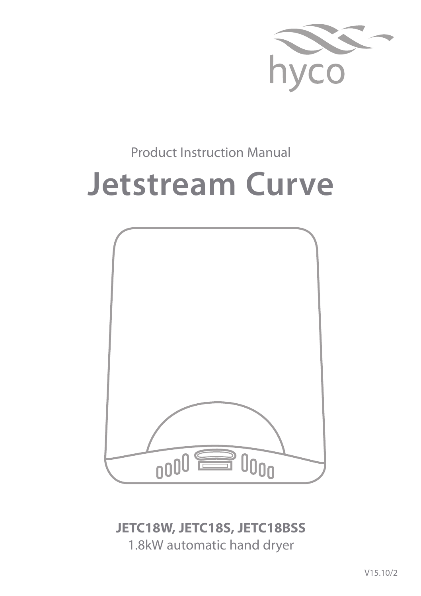

# Product Instruction Manual

# **Jetstream Curve**



**JETC18W, JETC18S, JETC18BSS** 1.8kW automatic hand dryer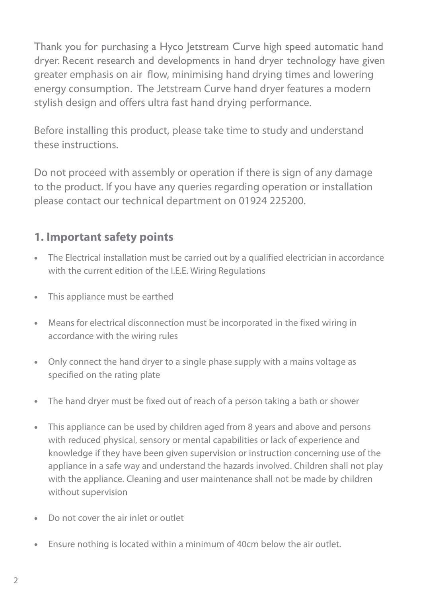Thank you for purchasing a Hyco Jetstream Curve high speed automatic hand dryer. Recent research and developments in hand dryer technology have given greater emphasis on air flow, minimising hand drying times and lowering energy consumption. The Jetstream Curve hand dryer features a modern stylish design and offers ultra fast hand drying performance.

Before installing this product, please take time to study and understand these instructions.

Do not proceed with assembly or operation if there is sign of any damage to the product. If you have any queries regarding operation or installation please contact our technical department on 01924 225200.

### **1. Important safety points**

- **•** The Electrical installation must be carried out by a qualified electrician in accordance with the current edition of the I.E.E. Wiring Regulations
- **•** This appliance must be earthed
- **•** Means for electrical disconnection must be incorporated in the fixed wiring in accordance with the wiring rules
- **•** Only connect the hand dryer to a single phase supply with a mains voltage as specified on the rating plate
- **•** The hand dryer must be fixed out of reach of a person taking a bath or shower
- **•** This appliance can be used by children aged from 8 years and above and persons with reduced physical, sensory or mental capabilities or lack of experience and knowledge if they have been given supervision or instruction concerning use of the appliance in a safe way and understand the hazards involved. Children shall not play with the appliance. Cleaning and user maintenance shall not be made by children without supervision
- **•** Do not cover the air inlet or outlet
- **•** Ensure nothing is located within a minimum of 40cm below the air outlet.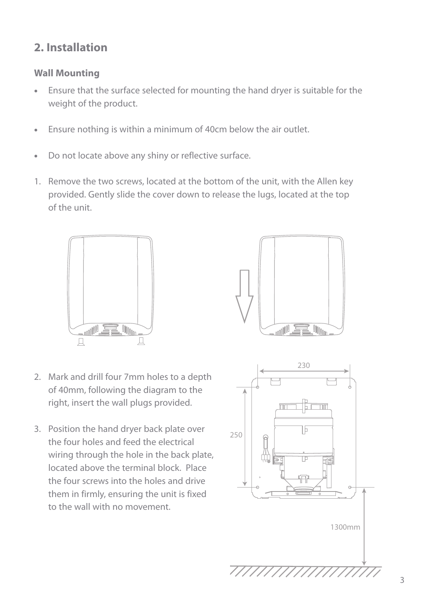## **2. Installation**

#### **Wall Mounting**

- **•** Ensure that the surface selected for mounting the hand dryer is suitable for the weight of the product.
- **•** Ensure nothing is within a minimum of 40cm below the air outlet.
- **•** Do not locate above any shiny or reflective surface.
- 1. Remove the two screws, located at the bottom of the unit, with the Allen key provided. Gently slide the cover down to release the lugs, located at the top of the unit.



- 2. Mark and drill four 7mm holes to a depth of 40mm, following the diagram to the right, insert the wall plugs provided.
- 3. Position the hand dryer back plate over the four holes and feed the electrical wiring through the hole in the back plate, located above the terminal block. Place the four screws into the holes and drive them in firmly, ensuring the unit is fixed to the wall with no movement.



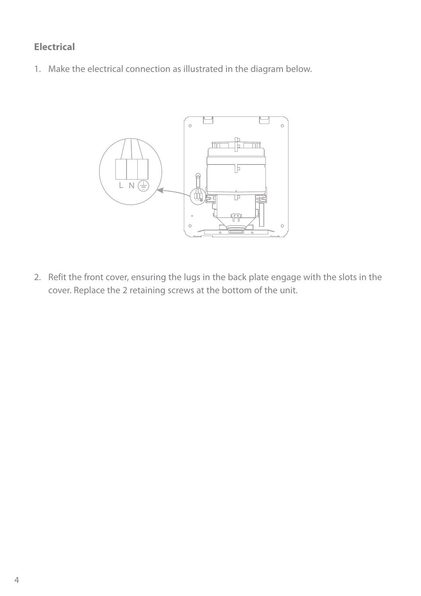#### **Electrical**

1. Make the electrical connection as illustrated in the diagram below.



2. Refit the front cover, ensuring the lugs in the back plate engage with the slots in the cover. Replace the 2 retaining screws at the bottom of the unit.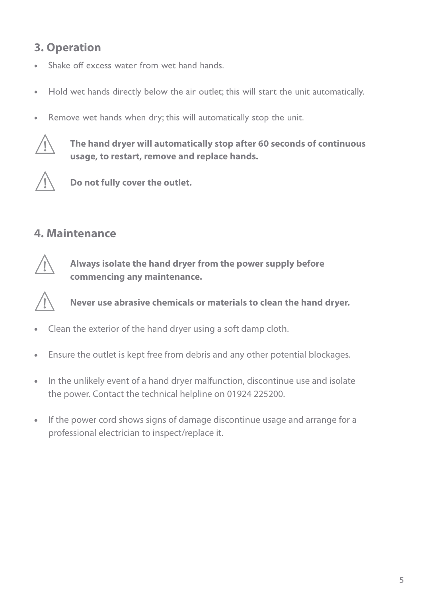## **3. Operation**

- Shake off excess water from wet hand hands.
- **•** Hold wet hands directly below the air outlet; this will start the unit automatically.
- **•** Remove wet hands when dry; this will automatically stop the unit.



**The hand dryer will automatically stop after 60 seconds of continuous usage, to restart, remove and replace hands.**



**Do not fully cover the outlet.**

#### **4. Maintenance**



**Always isolate the hand dryer from the power supply before commencing any maintenance.**



**Never use abrasive chemicals or materials to clean the hand dryer.**

- **•** Clean the exterior of the hand dryer using a soft damp cloth.
- **•** Ensure the outlet is kept free from debris and any other potential blockages.
- **•** In the unlikely event of a hand dryer malfunction, discontinue use and isolate the power. Contact the technical helpline on 01924 225200.
- **•** If the power cord shows signs of damage discontinue usage and arrange for a professional electrician to inspect/replace it.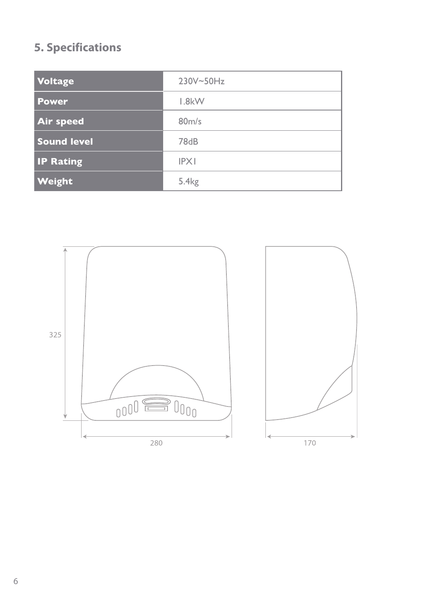# **5. Specifications**

| <b>Voltage</b>     | 230V~50Hz         |
|--------------------|-------------------|
| <b>Power</b>       | $1.8$ k $W$       |
| <b>Air speed</b>   | 80m/s             |
| <b>Sound level</b> | 78dB              |
| <b>IP Rating</b>   | <b>IPXI</b>       |
| <b>Weight</b>      | 5.4 <sub>kg</sub> |

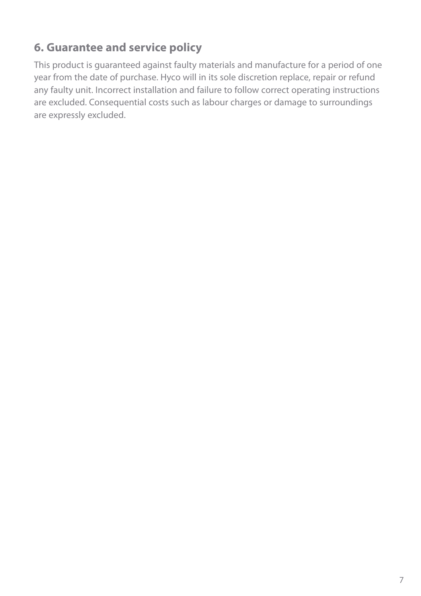# **6. Guarantee and service policy**

This product is guaranteed against faulty materials and manufacture for a period of one year from the date of purchase. Hyco will in its sole discretion replace, repair or refund any faulty unit. Incorrect installation and failure to follow correct operating instructions are excluded. Consequential costs such as labour charges or damage to surroundings are expressly excluded.